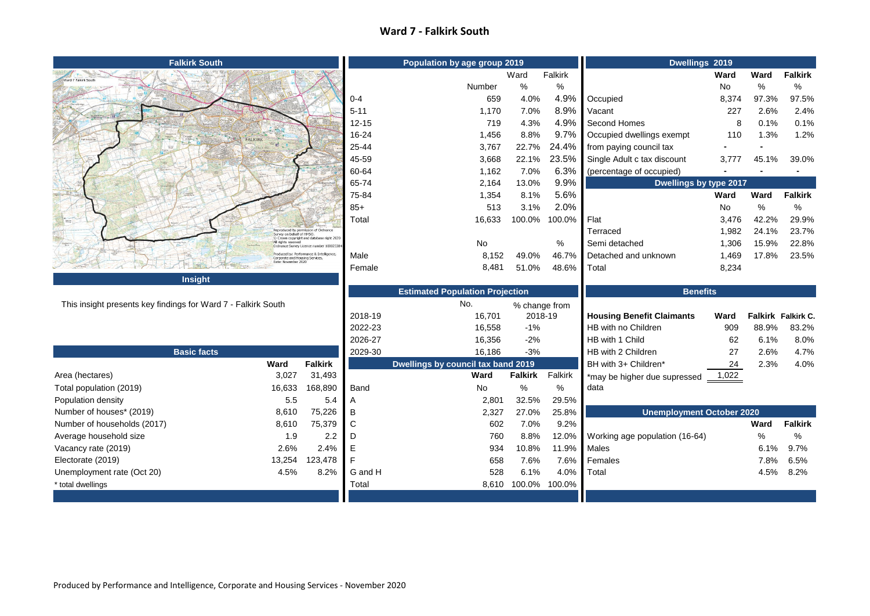## **Ward 7 - Falkirk South**

| <b>Falkirk South</b>                                          |                                                        |                                                                                                | Population by age group 2019 |                                           |                     |             | Dwellings 2019                       |             |             |                    |
|---------------------------------------------------------------|--------------------------------------------------------|------------------------------------------------------------------------------------------------|------------------------------|-------------------------------------------|---------------------|-------------|--------------------------------------|-------------|-------------|--------------------|
| Ward 7 Falkirk South                                          |                                                        |                                                                                                |                              |                                           | Ward                | Falkirk     |                                      | <b>Ward</b> | Ward        | <b>Falkirk</b>     |
|                                                               |                                                        |                                                                                                |                              | Number                                    | $\%$                | $\%$        |                                      | No          | %           | ℅                  |
|                                                               |                                                        |                                                                                                | $0 - 4$                      | 659                                       | 4.0%                | 4.9%        | Occupied                             | 8,374       | 97.3%       | 97.5%              |
|                                                               |                                                        |                                                                                                | $5 - 11$                     | 1,170                                     | 7.0%                | 8.9%        | Vacant                               | 227         | 2.6%        | 2.4%               |
|                                                               |                                                        |                                                                                                | $12 - 15$                    | 719                                       | 4.3%                | 4.9%        | Second Homes                         | 8           | 0.1%        | 0.1%               |
|                                                               |                                                        |                                                                                                | 16-24                        | 1,456                                     | 8.8%                | 9.7%        | Occupied dwellings exempt            | 110         | 1.3%        | 1.2%               |
|                                                               |                                                        |                                                                                                | 25-44                        | 3,767                                     | 22.7%               | 24.4%       | from paying council tax              |             |             |                    |
|                                                               |                                                        |                                                                                                | 45-59                        | 3,668                                     | 22.1%               | 23.5%       | Single Adult c tax discount          | 3,777       | 45.1%       | 39.0%              |
|                                                               |                                                        |                                                                                                | 60-64                        | 1,162                                     | 7.0%                | 6.3%        | (percentage of occupied)             |             |             |                    |
|                                                               |                                                        |                                                                                                | 65-74                        | 2,164                                     | 13.0%               | 9.9%        | Dwellings by type 2017               |             |             |                    |
|                                                               |                                                        |                                                                                                | 75-84                        | 1,354                                     | 8.1%                | 5.6%        |                                      | Ward        | <b>Ward</b> | <b>Falkirk</b>     |
|                                                               |                                                        |                                                                                                | $85+$                        | 513                                       | 3.1%                | 2.0%        |                                      | No          | %           | %                  |
|                                                               |                                                        |                                                                                                | Total                        | 16,633                                    | 100.0%              | 100.0%      | Flat                                 | 3,476       | 42.2%       | 29.9%              |
|                                                               |                                                        | Reproduced by permission of Ordnance<br>Survey on behalf of HMSO.<br>Survey on behalf of HMSO. |                              |                                           |                     |             | Terraced                             | 1,982       | 24.1%       | 23.7%              |
|                                                               | All rights reserved                                    | Ordnance Survey Licence number 10002338                                                        |                              | No                                        |                     | %           | Semi detached                        | 1,306       | 15.9%       | 22.8%              |
|                                                               | Corporate and Housing Services,<br>Date: November 2020 | Produced by: Performance & Intelligence,                                                       | Male                         | 8,152                                     | 49.0%               | 46.7%       | Detached and unknown                 | 1,469       | 17.8%       | 23.5%              |
|                                                               |                                                        |                                                                                                | Female                       | 8,481                                     | 51.0%               | 48.6%       | Total                                | 8,234       |             |                    |
|                                                               |                                                        |                                                                                                |                              |                                           |                     |             |                                      |             |             |                    |
| <b>Insight</b>                                                |                                                        |                                                                                                |                              |                                           |                     |             |                                      |             |             |                    |
|                                                               |                                                        |                                                                                                |                              | <b>Estimated Population Projection</b>    |                     |             | <b>Benefits</b>                      |             |             |                    |
| This insight presents key findings for Ward 7 - Falkirk South |                                                        |                                                                                                |                              | No.                                       | % change from       |             |                                      |             |             |                    |
|                                                               |                                                        |                                                                                                | 2018-19                      | 16,701                                    | 2018-19             |             | <b>Housing Benefit Claimants</b>     | Ward        |             | Falkirk Falkirk C. |
|                                                               |                                                        |                                                                                                | 2022-23                      | 16,558                                    | $-1%$               |             | HB with no Children                  | 909         | 88.9%       | 83.2%              |
|                                                               |                                                        |                                                                                                | 2026-27                      | 16,356                                    | $-2%$               |             | HB with 1 Child                      | 62          | 6.1%        | 8.0%               |
| <b>Basic facts</b>                                            |                                                        |                                                                                                | 2029-30                      | 16,186                                    | $-3%$               |             | HB with 2 Children                   | 27          | 2.6%        | 4.7%               |
|                                                               | <b>Ward</b>                                            | <b>Falkirk</b>                                                                                 |                              | <b>Dwellings by council tax band 2019</b> |                     |             | BH with 3+ Children*                 | 24          | 2.3%        | 4.0%               |
| Area (hectares)                                               | 3,027                                                  | 31,493                                                                                         |                              | Ward                                      | <b>Falkirk</b>      | Falkirk     | *may be higher due supressed         | 1,022       |             |                    |
| Total population (2019)                                       | 16,633                                                 | 168,890                                                                                        | Band                         | No                                        | $\%$                | %           | data                                 |             |             |                    |
| Population density                                            | 5.5                                                    | 5.4                                                                                            | Α                            | 2,801                                     | 32.5%               | 29.5%       |                                      |             |             |                    |
| Number of houses* (2019)                                      | 8,610                                                  | 75,226                                                                                         | B                            | 2,327                                     | 27.0%               | 25.8%       | <b>Unemployment October 2020</b>     |             |             |                    |
| Number of households (2017)                                   | 8,610                                                  | 75,379                                                                                         | C                            | 602                                       | 7.0%                | 9.2%        |                                      |             | Ward        | <b>Falkirk</b>     |
| Average household size                                        | 1.9                                                    | $2.2\,$                                                                                        | D                            | 760                                       | 8.8%                |             | 12.0% Working age population (16-64) |             | %           | %                  |
| Vacancy rate (2019)                                           | 2.6%                                                   | 2.4%                                                                                           | Е                            | 934                                       | 10.8%               | 11.9% Males |                                      |             | 6.1%        | 9.7%               |
| Electorate (2019)                                             | 13,254                                                 | 123,478                                                                                        |                              | 658                                       | 7.6%                |             | 7.6% Females                         |             | 7.8%        | 6.5%               |
| Unemployment rate (Oct 20)                                    | 4.5%                                                   | 8.2%                                                                                           | G and H                      | 528                                       | 6.1%                | 4.0%        | Total                                |             | 4.5%        | $8.2\%$            |
| * total dwellings                                             |                                                        |                                                                                                | Total                        |                                           | 8,610 100.0% 100.0% |             |                                      |             |             |                    |